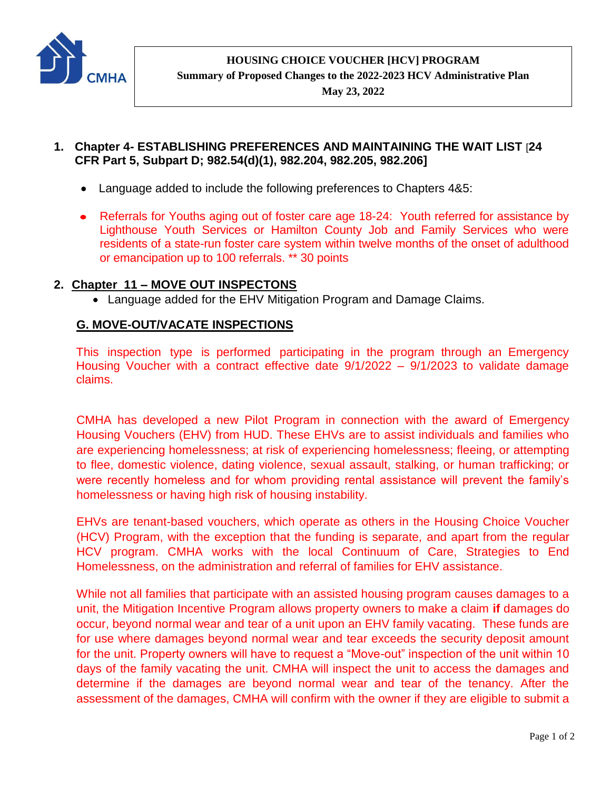

**HOUSING CHOICE VOUCHER [HCV] PROGRAM**

**Summary of Proposed Changes to the 2022-2023 HCV Administrative Plan**

**May 23, 2022**

- **1. Chapter 4- ESTABLISHING PREFERENCES AND MAINTAINING THE WAIT LIST** [**24 CFR Part 5, Subpart D; 982.54(d)(1), 982.204, 982.205, 982.206]**
	- Language added to include the following preferences to Chapters 4&5:
	- Referrals for Youths aging out of foster care age 18-24: Youth referred for assistance by Lighthouse Youth Services or Hamilton County Job and Family Services who were residents of a state-run foster care system within twelve months of the onset of adulthood or emancipation up to 100 referrals. \*\* 30 points

## **2. Chapter 11 – MOVE OUT INSPECTONS**

Language added for the EHV Mitigation Program and Damage Claims.

## **G. MOVE-OUT/VACATE INSPECTIONS**

This inspection type is performed participating in the program through an Emergency Housing Voucher with a contract effective date 9/1/2022 – 9/1/2023 to validate damage claims.

CMHA has developed a new Pilot Program in connection with the award of Emergency Housing Vouchers (EHV) from HUD. These EHVs are to assist individuals and families who are experiencing homelessness; at risk of experiencing homelessness; fleeing, or attempting to flee, domestic violence, dating violence, sexual assault, stalking, or human trafficking; or were recently homeless and for whom providing rental assistance will prevent the family's homelessness or having high risk of housing instability.

EHVs are tenant-based vouchers, which operate as others in the Housing Choice Voucher (HCV) Program, with the exception that the funding is separate, and apart from the regular HCV program. CMHA works with the local Continuum of Care, Strategies to End Homelessness, on the administration and referral of families for EHV assistance.

While not all families that participate with an assisted housing program causes damages to a unit, the Mitigation Incentive Program allows property owners to make a claim **if** damages do occur, beyond normal wear and tear of a unit upon an EHV family vacating. These funds are for use where damages beyond normal wear and tear exceeds the security deposit amount for the unit. Property owners will have to request a "Move-out" inspection of the unit within 10 days of the family vacating the unit. CMHA will inspect the unit to access the damages and determine if the damages are beyond normal wear and tear of the tenancy. After the assessment of the damages, CMHA will confirm with the owner if they are eligible to submit a